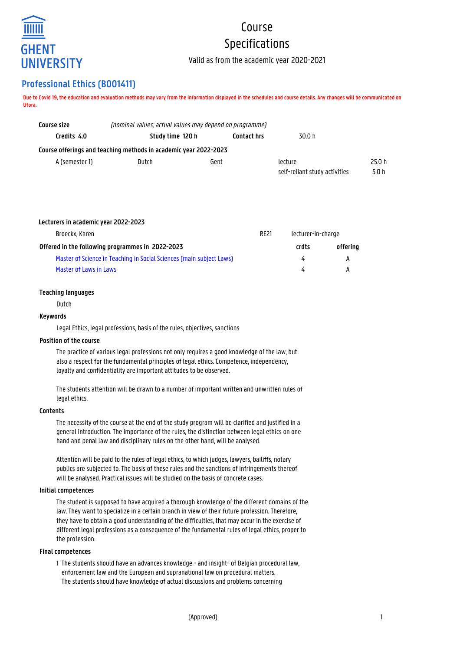

# Course Specifications

Valid as from the academic year 2020-2021

# **Professional Ethics (B001411)**

**Due to Covid 19, the education and evaluation methods may vary from the information displayed in the schedules and course details. Any changes will be communicated on Ufora.**

| Course size    | (nominal values; actual values may depend on programme)          |                    |                               |        |  |
|----------------|------------------------------------------------------------------|--------------------|-------------------------------|--------|--|
| Credits 4.0    | Study time 120 h                                                 | <b>Contact hrs</b> | 30.0 h                        |        |  |
|                | Course offerings and teaching methods in academic year 2022-2023 |                    |                               |        |  |
| A (semester 1) | Dutch<br>Gent                                                    |                    | lecture                       | 25.0 h |  |
|                |                                                                  |                    | self-reliant study activities | 5.0 h  |  |

|  | Lecturers in academic year 2022-2023 |  |
|--|--------------------------------------|--|
|--|--------------------------------------|--|

| Broeckx, Karen                                                       | <b>RE21</b> | lecturer-in-charge |          |
|----------------------------------------------------------------------|-------------|--------------------|----------|
| Offered in the following programmes in 2022-2023                     |             | crdts              | offering |
| Master of Science in Teaching in Social Sciences (main subject Laws) |             |                    | A        |
| Master of Laws in Laws                                               |             |                    | А        |

# **Teaching languages**

Dutch

# **Keywords**

Legal Ethics, legal professions, basis of the rules, objectives, sanctions

# **Position of the course**

The practice of various legal professions not only requires a good knowledge of the law, but also a respect for the fundamental principles of legal ethics. Competence, independency, loyalty and confidentiality are important attitudes to be observed.

The students attention will be drawn to a number of important written and unwritten rules of legal ethics.

# **Contents**

The necessity of the course at the end of the study program will be clarified and justified in a general introduction. The importance of the rules, the distinction between legal ethics on one hand and penal law and disciplinary rules on the other hand, will be analysed.

Attention will be paid to the rules of legal ethics, to which judges, lawyers, bailiffs, notary publics are subjected to. The basis of these rules and the sanctions of infringements thereof will be analysed. Practical issues will be studied on the basis of concrete cases.

#### **Initial competences**

The student is supposed to have acquired a thorough knowledge of the different domains of the law. They want to specialize in a certain branch in view of their future profession. Therefore, they have to obtain a good understanding of the difficulties, that may occur in the exercise of different legal professions as a consequence of the fundamental rules of legal ethics, proper to the profession.

# **Final competences**

1 The students should have an advances knowledge - and insight- of Belgian procedural law, enforcement law and the European and supranational law on procedural matters. 1 The students should have knowledge of actual discussions and problems concerning